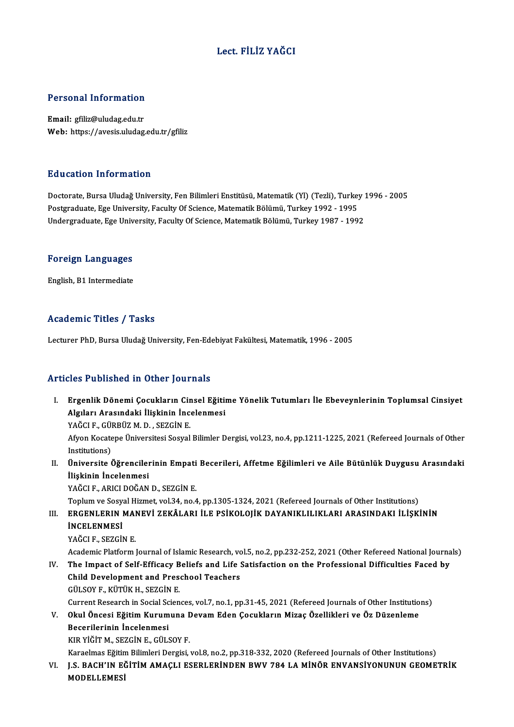#### Lect. FİLİZ YAĞCI

# Personal Information

Personal Information<br>Email: gfiliz@uludag.edu.tr<br>Web: https://avasis.uludag Email: gfiliz@uludag.edu.tr<br>Web: https://avesis.uludag.edu.tr/gfiliz

#### Education Information

Education Information<br>Doctorate, Bursa Uludağ University, Fen Bilimleri Enstitüsü, Matematik (Yl) (Tezli), Turkey 1996 - 2005<br>Postaraduata Ege University, Fesulty Of Ssience, Matematik Bölümü, Turkey 1992, 1995 Pu u sutrom minominusion<br>Doctorate, Bursa Uludağ University, Fen Bilimleri Enstitüsü, Matematik (Yl) (Tezli), Turkey<br>Postgraduate, Ege University, Faculty Of Science, Matematik Bölümü, Turkey 1992 - 1995<br>Undergraduate, Ege Postgraduate, Ege University, Faculty Of Science, Matematik Bölümü, Turkey 1992 - 1995<br>Undergraduate, Ege University, Faculty Of Science, Matematik Bölümü, Turkey 1987 - 1992

## <sub>ondergraduate, ege omv<br>Foreign Languages</sub> F<mark>oreign Languages</mark><br>English, B1 Intermediate

# English, B1 Intermediate<br>Academic Titles / Tasks

Lecturer PhD, Bursa Uludağ University, Fen-Edebiyat Fakültesi, Matematik, 1996 - 2005

#### Articles Published in Other Journals

- rticles Published in Other Journals<br>I. Ergenlik Dönemi Çocukların Cinsel Eğitime Yönelik Tutumları İle Ebeveynlerinin Toplumsal Cinsiyet<br>Alsıları Arasındaki İliskinin İnsalanmasi Algıları Alendrea in Gener your nand<br>Ergenlik Dönemi Çocukların Cinsel Eğitin<br>Algıları Arasındaki İlişkinin İncelenmesi<br>YAĞÇLE CÜRRÜZ M.D. SEZÇİN E Ergenlik Dönemi Çocukların Cir<br>Algıları Arasındaki İlişkinin İnc<br>YAĞCI F., GÜRBÜZ M. D. , SEZGİN E.<br>Afron Kosatone Üniversitesi Sesual Algıları Arasındaki İlişkinin İncelenmesi<br>YAĞCI F., GÜRBÜZ M. D. , SEZGİN E.<br>Afyon Kocatepe Üniversitesi Sosyal Bilimler Dergisi, vol.23, no.4, pp.1211-1225, 2021 (Refereed Journals of Other YAĞCI F., GÜI<br>Afyon Kocate<br>Institutions)<br>Üniversite ( Afyon Kocatepe Üniversitesi Sosyal Bilimler Dergisi, vol.23, no.4, pp.1211-1225, 2021 (Refereed Journals of Other<br>Institutions)<br>II. Üniversite Öğrencilerinin Empati Becerileri, Affetme Eğilimleri ve Aile Bütünlük Duygusu Institutions)<br>Üniversite Öğrenciler<br>İlişkinin İncelenmesi<br>YAĞCLE APICLDOĞAN Üniversite Öğrencilerinin Empati<br>İlişkinin İncelenmesi<br>YAĞCI F., ARICI DOĞAN D., SEZGİN E.<br>Tenlum ve Sesual Hirmet vel 34 ne 4 İlişkinin İncelenmesi<br>YAĞCI F., ARICI DOĞAN D., SEZGİN E.<br>Toplum ve Sosyal Hizmet, vol.34, no.4, pp.1305-1324, 2021 (Refereed Journals of Other Institutions) YAĞCI F., ARICI DOĞAN D., SEZGİN E.<br>Toplum ve Sosyal Hizmet, vol.34, no.4, pp.1305-1324, 2021 (Refereed Journals of Other Institutions)<br>III. ERGENLERIN MANEVİ ZEKÂLARI İLE PSİKOLOJİK DAYANIKLILIKLARI ARASINDAKI İLİŞKİN
- Toplum ve Sosy<mark>;</mark><br>ERGENLERIN I<br>İNCELENMESİ<br>YAČCLE SEZCİ! ERGENLERIN MAI<br>İNCELENMESİ<br>YAĞCI F., SEZGİN E.<br>Academis Blatform **İNCELENMESİ**<br>YAĞCI F., SEZGİN E.<br>Academic Platform Journal of Islamic Research, vol.5, no.2, pp.232-252, 2021 (Other Refereed National Journals)<br>The Impact of Self Efficeau Peliefe and Life Satisfaction on the Prefessiona

YAĞCI F., SEZGİN E.<br>Academic Platform Journal of Islamic Research, vol.5, no.2, pp.232-252, 2021 (Other Refereed National Journa<br>IV. The Impact of Self-Efficacy Beliefs and Life Satisfaction on the Professional Difficultie Academic Platform Journal of Islamic Research, volton:<br>The Impact of Self-Efficacy Beliefs and Life :<br>Child Development and Preschool Teachers<br>Cill SOV E, Kürtik H, SEZCIN E IV. The Impact of Self-Efficacy Beliefs and Life Satisfaction on the Professional Difficulties Faced by Child Development and Preschool Teachers<br>GÜLSOY F., KÜTÜK H., SEZGİN E. Child Development and Preschool Teachers<br>GÜLSOY F., KÜTÜK H., SEZGİN E.<br>Current Research in Social Sciences, vol.7, no.1, pp.31-45, 2021 (Refereed Journals of Other Institutions)<br>Okul Önesei Eğitim Kurumuna Dovam Eden Cosu GÜLSOY F., KÜTÜK H., SEZGİN E.<br>Current Research in Social Sciences, vol.7, no.1, pp.31-45, 2021 (Refereed Journals of Other Institutio<br>V. Okul Öncesi Eğitim Kurumuna Devam Eden Çocukların Mizaç Özellikleri ve Öz Düzenleme<br>

### Current Research in Social Sc<br>Okul Öncesi Eğitim Kurum<br>Becerilerinin İncelenmesi<br>KIR VİĞİTM SEZCİNE CÜLS V. Okul Öncesi Eğitim Kurumuna Devam Eden Çocukların Mizaç Özellikleri ve Öz Düzenleme<br>Becerilerinin İncelenmesi<br>KIR YİĞİT M., SEZGİN E., GÜLSOY F.

Karaelmas Eğitim Bilimleri Dergisi, vol.8, no.2, pp.318-332, 2020 (Refereed Journals of Other Institutions) VI. J.S. BACH'IN EĞİTİMAMAÇLI ESERLERİNDEN BWV 784 LAMİNÖR ENVANSİYONUNUN GEOMETRİK

Karaelmas Eğitin<br>J.S. BACH'IN EÒ<br>MODELLEMESİ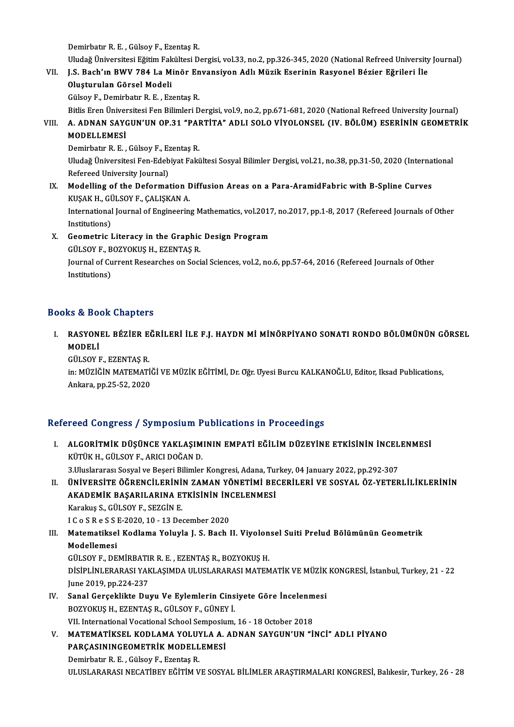Demirbatır R.E., Gülsoy F., Ezentaş R.

Uludağ Üniversitesi Eğitim Fakültesi Dergisi, vol.33, no.2, pp.326-345, 2020 (National Refreed University Journal)

#### Demirbatır R. E. , Gülsoy F., Ezentaş R.<br>Uludağ Üniversitesi Eğitim Fakültesi Dergisi, vol.33, no.2, pp.326-345, 2020 (National Refreed University<br>VII. J.S. Bach'ın BWV 784 La Minör Envansiyon Adlı Müzik Eserinin Rasyo Uludağ Üniversitesi Eğitim Fak<br>J.S. Bach'ın BWV 784 La M<br>Oluşturulan Görsel Modeli<br>Gülsev E. Demirbatır P. E. Ez J.S. Bach'ın BWV 784 La Minör En<br>Oluşturulan Görsel Modeli<br>Gülsoy F., Demirbatır R. E. , Ezentaş R.<br>Pitlis Eron Üniversitesi Fen Bilimleri D Oluşturulan Görsel Modeli<br>Gülsoy F., Demirbatır R. E. , Ezentaş R.<br>Bitlis Eren Üniversitesi Fen Bilimleri Dergisi, vol.9, no.2, pp.671-681, 2020 (National Refreed University Journal)

Gülsoy F., Demirbatır R. E. , Ezentaş R.<br>Bitlis Eren Üniversitesi Fen Bilimleri Dergisi, vol.9, no.2, pp.671-681, 2020 (National Refreed University Journal)<br>VIII. A. ADNAN SAYGUN'UN OP.31 "PARTİTA" ADLI SOLO VİYOLONSEL Bitlis Eren Üniver<br>A. ADNAN SAY(<br>MODELLEMESİ<br>Domirbatır B. E

A. ADNAN SAYGUN'UN OP.31 <mark>"PAI<br>MODELLEMESİ</mark><br>Demirbatır R. E. , Gülsoy F., Ezentaş R.<br>Illudağ Üniversitesi Fan Edebiyat Faki

MODELLEMESİ<br>Demirbatır R. E. , Gülsoy F., Ezentaş R.<br>Uludağ Üniversitesi Fen-Edebiyat Fakültesi Sosyal Bilimler Dergisi, vol.21, no.38, pp.31-50, 2020 (International<br>Refereed University Journal) Demirbatır R. E. , Gülsoy F., Ez<br>Uludağ Üniversitesi Fen-Edeb<br>Refereed University Journal)<br>Modelling of the Deferme Uludağ Üniversitesi Fen-Edebiyat Fakültesi Sosyal Bilimler Dergisi, vol.21, no.38, pp.31-50, 2020 (Interna<br>Refereed University Journal)<br>IX. Modelling of the Deformation Diffusion Areas on a Para-AramidFabric with B-Spline

- Refereed University Journal)<br>IX. Modelling of the Deformation Diffusion Areas on a Para-AramidFabric with B-Spline Curves<br>KUŞAK H., GÜLSOY F., ÇALIŞKAN A. Modelling of the Deformation Diffusion Areas on a Para-AramidFabric with B-Spline Curves<br>KUŞAK H., GÜLSOY F., ÇALIŞKAN A.<br>International Journal of Engineering Mathematics, vol.2017, no.2017, pp.1-8, 2017 (Refereed Journals KUŞAK H., Gİ<br>International<br>Institutions)<br>Ceametris I International Journal of Engineering Mathematics, vol.2017<br>Institutions)<br>X. Geometric Literacy in the Graphic Design Program<br>CULSOVE BOZYOWIS H EZENTAS P
- Institutions)<br>X. Geometric Literacy in the Graphic Design Program Journal of Current Researches on Social Sciences, vol.2, no.6, pp.57-64, 2016 (Refereed Journals of Other<br>Institutions) GÜLSOY F., BOZYOKUŞ H., EZENTAŞ R.

#### Books&Book Chapters

OOks & Book Chapters<br>I. – RASYONEL BÉZİER EĞRİLERİ İLE F.J. HAYDN Mİ MİNÖRPİYANO SONATI RONDO BÖLÜMÜNÜN GÖRSEL<br>MODELİ **RASYON**<br>RASYON<br>MODELİ RASYONEL BÉZİER E<br>MODELİ<br>GÜLSOY F., EZENTAŞ R.<br>in: MÜZİČİN MATEMATİ

MODELİ<br>GÜLSOY F., EZENTAŞ R.<br>in: MÜZİĞİN MATEMATİĞİ VE MÜZİK EĞİTİMİ, Dr. Oğr. Uyesi Burcu KALKANOĞLU, Editor, Iksad Publications,<br>Ankara, pp.25,52,2020 GÜLSOY F., EZENTAŞ R.<br>in: MÜZİĞİN MATEMATİ<br>Ankara, pp.25-52, 2020

# Ankara, pp.25-52, 2020<br>Refereed Congress / Symposium Publications in Proceedings

- efereed Congress / Symposium Publications in Proceedings<br>I. ALGORİTMİK DÜŞÜNCE YAKLAŞIMININ EMPATİ EĞİLİM DÜZEYİNE ETKİSİNİN İNCELENMESİ<br>KÜTÜK H. CÜLSOY E. ARICLDOĞAN D TUCU CUN<sub>E</sub>LUSS / UJ INPUBLIKH.<br>ALGORİTMİK DÜŞÜNCE YAKLAŞIM<br>KÜTÜK H., GÜLSOY F., ARICI DOĞAN D.<br><sup>2 Hinelararacı Sasual ve Besari Bilimlar</sup> ALGORİTMİK DÜŞÜNCE YAKLAŞIMININ EMPATİ EĞİLİM DÜZEYİNE ETKİSİNİN İNCEL<br>KÜTÜK H., GÜLSOY F., ARICI DOĞAN D.<br>3.Uluslararası Sosyal ve Beşeri Bilimler Kongresi, Adana, Turkey, 04 January 2022, pp.292-307<br>ÜNİVERSİTE ÖĞRENCÜ ER KÜTÜK H., GÜLSOY F., ARICI DOĞAN D.<br>3.Uluslararası Sosyal ve Beşeri Bilimler Kongresi, Adana, Turkey, 04 January 2022, pp.292-307<br>II. ÜNİVERSİTE ÖĞRENCİLERİNİN ZAMAN YÖNETİMİ BECERİLERİ VE SOSYAL ÖZ-YETERLİLİKLERİNİN
- 3.Uluslararası Sosyal ve Beşeri Bilimler Kongresi, Adana, Tu<br>ÜNİVERSİTE ÖĞRENCİLERİNİN ZAMAN YÖNETİMİ BE<br>AKADEMİK BAŞARILARINA ETKİSİNİN İNCELENMESİ<br>Karalus S. CÜLSOVE, SEZCİNE **ÜNİVERSİTE ÖĞRENCİLERİNİ<br>AKADEMİK BAŞARILARINA E'**<br>Karakuş S., GÜLSOY F., SEZGİN E.<br>LC 8 S.R 8 S.K 7 2020 10, 13 De. AKADEMİK BAŞARILARINA ETKİSİNİN İNC<br>Karakuş S., GÜLSOY F., SEZGİN E.<br>I C o S R e S S E-2020, 10 - 13 December 2020<br>Matamatiksel Kodlama Valuvla I. S. Bash l

### Karakuş S., GÜLSOY F., SEZGİN E.<br>I C o S R e S S E-2020, 10 - 13 December 2020<br>III. Matematiksel Kodlama Yoluyla J. S. Bach II. Viyolonsel Suiti Prelud Bölümünün Geometrik<br>Medellemesi I C o S R e S S I<br>Matematiksel<br>Modellemesi<br>Cül SOV E - DE

Modellemesi<br>GÜLSOY F., DEMİRBATIR R. E. , EZENTAŞ R., BOZYOKUŞ H. Modellemesi<br>GÜLSOY F., DEMİRBATIR R. E. , EZENTAŞ R., BOZYOKUŞ H.<br>DİSİPLİNLERARASI YAKLAŞIMDA ULUSLARARASI MATEMATİK VE MÜZİK KONGRESİ, İstanbul, Turkey, 21 - 22 GÜLSOY F., DEMİRBATI<br>DİSİPLİNLERARASI YAF<br>June 2019, pp.224-237<br>Sanal Careaklikta Du DİSİPLİNLERARASI YAKLAŞIMDA ULUSLARARASI MATEMATİK VE MÜZİK<br>June 2019, pp.224-237<br>IV. Sanal Gerçeklikte Duyu Ve Eylemlerin Cinsiyete Göre İncelenmesi<br>POZYOKUS H. EZENTAS P. GÜLSOVE, GÜNEV İ

June 2019, pp.224-237<br>Sanal Gerçeklikte Duyu Ve Eylemlerin Cins<br>BOZYOKUŞ H., EZENTAŞ R., GÜLSOY F., GÜNEY İ. IV. Sanal Gerçeklikte Duyu Ve Eylemlerin Cinsiyete Göre İncelenmesi BOZYOKUŞ H., EZENTAŞ R., GÜLSOY F., GÜNEY İ.<br>VII. International Vocational School Semposium, 16 - 18 October 2018<br>V. MATEMATİKSEL KODLAMA YOLUYLA A. ADNAN SAYGUN'UN "İNCİ" ADLI PİYANO<br>PARCASININCEOMETRIK MODELLEMESİ.

### VII. International Vocational School Semposium, 16 - 18 October 2018<br>MATEMATIKSEL KODLAMA YOLUYLA A. ADNAN SAYGUN'UN "İ<br>PARÇASININGEOMETRİK MODELLEMESİ<br>Demirbatır R. E., Gülsov F., Ezentas R. MATEMATİKSEL KODLAMA YOLU<mark>)</mark><br>PARÇASININGEOMETRİK MODELL<br>Demirbatır R. E. , Gülsoy F., Ezentaş R.<br>III HSLARARASI NECATİPEV FĞİTİM V ULUSLARARASI NECATİBEY EĞİTİM VE SOSYAL BİLİMLER ARAŞTIRMALARI KONGRESİ, Balıkesir, Turkey, 26 - 28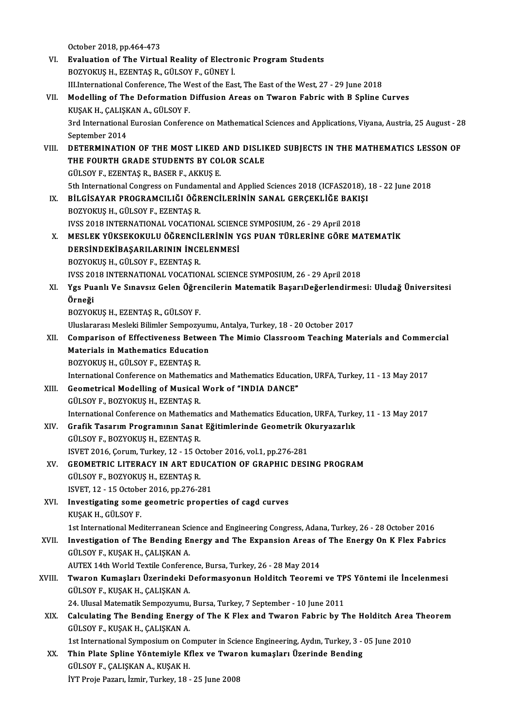October 2018,pp.464-473

- VI. Evaluation of The Virtual Reality of Electronic Program Students BOZYOKUŞH.,EZENTAŞR.,GÜLSOYF.,GÜNEYİ. Evaluation of The Virtual Reality of Electronic Program Students<br>BOZYOKUŞ H., EZENTAŞ R., GÜLSOY F., GÜNEY İ.<br>III.International Conference, The West of the East, The East of the West, 27 - 29 June 2018<br>Modelling of The Def
- VII. Modelling of The Deformation Diffusion Areas on Twaron Fabric with B Spline Curves<br>KUSAK H., CALISKAN A., GÜLSOY F. III.International Conference, The W<br>Modelling of The Deformation<br>KUŞAK H., ÇALIŞKAN A., GÜLSOY F.<br><sup>2nd International Eurosian Confere</sup> Modelling of The Deformation Diffusion Areas on Twaron Fabric with B Spline Curves<br>KUŞAK H., ÇALIŞKAN A., GÜLSOY F.<br>3rd International Eurosian Conference on Mathematical Sciences and Applications, Viyana, Austria, 25 Augus KUŞAK H., ÇALIŞK<br>3rd International<br>September 2014<br>DETERMINATIO
- 3rd International Eurosian Conference on Mathematical Sciences and Applications, Viyana, Austria, 25 August 28<br>September 2014<br>VIII. DETERMINATION OF THE MOST LIKED AND DISLIKED SUBJECTS IN THE MATHEMATICS LESSON OF<br>THE F September 2014<br>DETERMINATION OF THE MOST LIKED AND DISLIF<br>THE FOURTH GRADE STUDENTS BY COLOR SCALE<br>CULSOY E FZENTAS R. RASER E. AKKUS E DETERMINATION OF THE MOST LIKED<br>THE FOURTH GRADE STUDENTS BY CO<br>GÜLSOY F., EZENTAŞ R., BASER F., AKKUŞ E.<br>Eth International Congress on Eundamental THE FOURTH GRADE STUDENTS BY COLOR SCALE<br>GÜLSOY F., EZENTAŞ R., BASER F., AKKUŞ E.<br>5th International Congress on Fundamental and Applied Sciences 2018 (ICFAS2018), 18 - 22 June 2018 GÜLSOY F., EZENTAŞ R., BASER F., AKKUŞ E.<br>5th International Congress on Fundamental and Applied Sciences 2018 (ICFAS2018), <br>IX. BİLGİSAYAR PROGRAMCILIĞI ÖĞRENCİLERİNİN SANAL GERÇEKLİĞE BAKIŞI<br>POZYOVUS H. GÜLSOY E. EZENTAS
- 5th International Congress on Fundam<br>BİLGİSAYAR PROGRAMCILIĞI ÖĞR<br>BOZYOKUŞ H., GÜLSOY F., EZENTAŞ R.<br>WSS 2019 INTERNATIONAL VOCATIO BİLGİSAYAR PROGRAMCILIĞI ÖĞRENCİLERİNİN SANAL GERÇEKLİĞE BAKIŞ<br>BOZYOKUŞ H., GÜLSOY F., EZENTAŞ R.<br>IVSS 2018 INTERNATIONAL VOCATIONAL SCIENCE SYMPOSIUM, 26 - 29 April 2018<br>MESLEK YÜKSEKOKULU ÖĞRENCU ERİNİN YOS BUAN TÜRLERİN BOZYOKUŞ H., GÜLSOY F., EZENTAŞ R.<br>IVSS 2018 INTERNATIONAL VOCATIONAL SCIENCE SYMPOSIUM, 26 - 29 April 2018<br>X. MESLEK YÜKSEKOKULU ÖĞRENCİLERİNİN YGS PUAN TÜRLERİNE GÖRE MATEMATİK<br>DERSİNDEKİRASARLI ARININ İNCELENMESİ
- IVSS 2018 INTERNATIONAL VOCATIONAL SCIENCHERININ YN ESLEK YÜKSEKOKULU ÖĞRENCİLERİNIN YN ERSINDEKİBAŞARILARININ İNCELENMESİ<br>DERSİNDEKİBAŞARILARININ İNCELENMESİ MESLEK YÜKSEKOKULU ÖĞRENCİ<br>DERSİNDEKİBAŞARILARININ İNCE<br>BOZYOKUŞ H., GÜLSOY F., EZENTAŞ R.<br>WSS 2018 INTERNATIONAL VOCATIO DERSİNDEKİBAŞARILARININ İNCELENMESİ<br>BOZYOKUŞ H., GÜLSOY F., EZENTAŞ R.<br>IVSS 2018 INTERNATIONAL VOCATIONAL SCIENCE SYMPOSIUM, 26 - 29 April 2018 BOZYOKUŞ H., GÜLSOY F., EZENTAŞ R.<br>IVSS 2018 INTERNATIONAL VOCATIONAL SCIENCE SYMPOSIUM, 26 - 29 April 2018<br>XI. Ygs Puanlı Ve Sınavsız Gelen Öğrencilerin Matematik BaşarıDeğerlendirmesi: Uludağ Üniversitesi
- IVSS 20<br>Ygs Pu:<br>Örneği<br>POZVOL Ygs Puanlı Ve Sınavsız Gelen Öğre<br>Örneği<br>BOZYOKUŞ H., EZENTAŞ R., GÜLSOY F.<br>Uluslararası Mesleki Bilimler Semnezu <mark>Örneği</mark><br>BOZYOKUŞ H., EZENTAŞ R., GÜLSOY F.<br>Uluslararası Mesleki Bilimler Sempozyumu, Antalya, Turkey, 18 - 20 October 2017<br>Cemperisen ef Effectiveness Between The Mimie Classreem Teaching Ma
	-

BOZYOKUŞ H., EZENTAŞ R., GÜLSOY F.<br>Uluslararası Mesleki Bilimler Sempozyumu, Antalya, Turkey, 18 - 20 October 2017<br>XII. Comparison of Effectiveness Between The Mimio Classroom Teaching Materials and Commercial<br>Material Uluslararası Mesleki Bilimler Sempozyum<br>Comparison of Effectiveness Betwee<br>Materials in Mathematics Education<br>POZYOVUS H\_CÜLSOV E\_EZENTAS P Comparison of Effectiveness Betw<br>Materials in Mathematics Educatic<br>BOZYOKUŞ H., GÜLSOY F., EZENTAŞ R.<br>International Conference en Mathemat Materials in Mathematics Education<br>BOZYOKUŞ H., GÜLSOY F., EZENTAŞ R.<br>International Conference on Mathematics and Mathematics Education, URFA, Turkey, 11 - 13 May 2017

XIII. Geometrical Modelling of Musical Work of "INDIA DANCE" GÜLSOYF.,BOZYOKUŞH.,EZENTAŞR. Geometrical Modelling of Musical Work of "INDIA DANCE"<br>GÜLSOY F., BOZYOKUŞ H., EZENTAŞ R.<br>International Conference on Mathematics and Mathematics Education, URFA, Turkey, 11 - 13 May 2017<br>Crafik Tessaum Programuun Sanat Eğ

- XIV. Grafik Tasarım Programının Sanat Eğitimlerinde Geometrik Okuryazarlık GÜLSOY F., BOZYOKUŞ H., EZENTAŞ R. International Conference on Mathema<br>Grafik Tasarım Programının Sanat<br>GÜLSOY F., BOZYOKUŞ H., EZENTAŞ R.<br>ISVET 2016, Canum Turkay 12, 15.0: ISVET2016,Çorum,Turkey,12 -15October 2016,vol.1,pp.276-281 GÜLSOY F., BOZYOKUŞ H., EZENTAŞ R.<br>ISVET 2016, Çorum, Turkey, 12 - 15 October 2016, vol.1, pp.276-281<br>XV. GEOMETRIC LITERACY IN ART EDUCATION OF GRAPHIC DESING PROGRAM<br>CÜLSOV E. BOZYOKUS U. EZENTAS R.
- GÜLSOY F., BOZYOKUŞ H., EZENTAŞ R.<br>ISVET, 12 15 October 2016, pp.276-281 GEOMETRIC LITERACY IN ART EDUCA<br>GÜLSOY F., BOZYOKUŞ H., EZENTAŞ R.<br>ISVET, 12 - 15 October 2016, pp.276-281<br>Investisating soma geometria propor GÜLSOY F., BOZYOKUŞ H., EZENTAŞ R.<br>ISVET, 12 - 15 October 2016, pp.276-281<br>XVI. Investigating some geometric properties of cagd curves<br>EUISAK H. CÜLSOY E
- ISVET, 12 15 Octobe<br>Investigating some<br>KUŞAK H., GÜLSOY F.<br>1st International Mod Investigating some geometric properties of cagd curves<br>KUŞAK H., GÜLSOY F.<br>1st International Mediterranean Science and Engineering Congress, Adana, Turkey, 26 - 28 October 2016<br>Investigation of The Bonding Energy and The E

KUŞAK H., GÜLSOY F.<br>1st International Mediterranean Science and Engineering Congress, Adana, Turkey, 26 - 28 October 2016<br>2016 .<br>3. Investigation of The Bending Energy and The Expansion Areas of The Energy On K Flex Fabric 1st International Mediterranean Sci<br>Investigation of The Bending El<br>GÜLSOY F., KUŞAK H., ÇALIŞKAN A.<br>AUTEV 14th World Teytile Conforer Investigation of The Bending Energy and The Expansion Areas of<br>GÜLSOY F., KUŞAK H., ÇALIŞKAN A.<br>AUTEX 14th World Textile Conference, Bursa, Turkey, 26 - 28 May 2014<br>Twaren Kumasları Üzerindeki Defermasyonun Helditsh Teerem

GÜLSOY F., KUŞAK H., ÇALIŞKAN A.<br>AUTEX 14th World Textile Conference, Bursa, Turkey, 26 - 28 May 2014<br>XVIII. Twaron Kumaşları Üzerindeki Deformasyonun Holditch Teoremi ve TPS Yöntemi ile İncelenmesi AUTEX 14th World Textile Conferen<br>**Twaron Kumaşları Üzerindeki I**<br>GÜLSOY F., KUŞAK H., ÇALIŞKAN A.<br>24 Hlusel Matematik Semnerununu Twaron Kumaşları Üzerindeki Deformasyonun Holditch Teoremi ve TP<br>GÜLSOY F., KUŞAK H., ÇALIŞKAN A.<br>24. Ulusal Matematik Sempozyumu, Bursa, Turkey, 7 September - 10 June 2011<br>Colculating The Bending Energy of The K Eley and

GÜLSOY F., KUŞAK H., ÇALIŞKAN A.<br>24. Ulusal Matematik Sempozyumu, Bursa, Turkey, 7 September - 10 June 2011<br>XIX. Calculating The Bending Energy of The K Flex and Twaron Fabric by The Holditch Area Theorem<br>CÜLSOV E. KUS 24. Ulusal Matematik Sempozyumu, Bursa, Turkey, 7 September - 10 June 2011<br>Calculating The Bending Energy of The K Flex and Twaron Fabric by 1<br>GÜLSOY F., KUŞAK H., ÇALIŞKAN A. Calculating The Bending Energy of The K Flex and Twaron Fabric by The Holditch Area<br>GÜLSOY F., KUŞAK H., ÇALIŞKAN A.<br>1st International Symposium on Computer in Science Engineering, Aydın, Turkey, 3 - 05 June 2010<br>Thin Plat

GÜLSOY F., KUŞAK H., ÇALIŞKAN A.<br>1st International Symposium on Computer in Science Engineering, Aydın, Turkey, 3 -<br>XX. Thin Plate Spline Yöntemiyle Kflex ve Twaron kumaşları Üzerinde Bending<br>CÜLSOY E. CALISKAN A. KUSAK H 1st International Symposium on Computer in Science Engineering, Aydın, Turkey, 3 - 05 June 2010<br>Thin Plate Spline Yöntemiyle Kflex ve Twaron kumaşları Üzerinde Bending<br>GÜLSOY F., ÇALIŞKAN A., KUŞAK H.<br>İYT Proje Pazarı, İzm Thin Plate Spline Yöntemiyle Kflex ve Tward<br>GÜLSOY F., ÇALIŞKAN A., KUŞAK H.<br>İYT Proje Pazarı, İzmir, Turkey, 18 - 25 June 2008